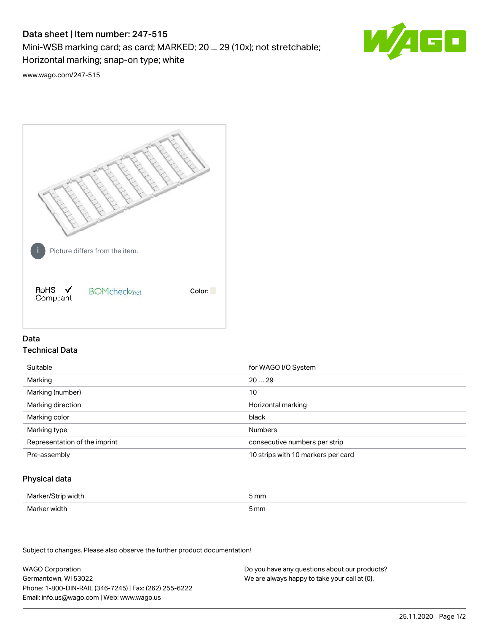# Data sheet | Item number: 247-515

Mini-WSB marking card; as card; MARKED; 20 ... 29 (10x); not stretchable;

Horizontal marking; snap-on type; white

60

[www.wago.com/247-515](http://www.wago.com/247-515)



## Data Technical Data

| Suitable                      | for WAGO I/O System                |
|-------------------------------|------------------------------------|
| Marking                       | 2029                               |
| Marking (number)              | 10                                 |
| Marking direction             | Horizontal marking                 |
| Marking color                 | black                              |
| Marking type                  | <b>Numbers</b>                     |
| Representation of the imprint | consecutive numbers per strip      |
| Pre-assembly                  | 10 strips with 10 markers per card |

## Physical data

| Marker/Strip width                   | i mm<br>$-$ |
|--------------------------------------|-------------|
| Marker width<br>$\sim$ $\sim$ $\sim$ | 5 mm        |

Subject to changes. Please also observe the further product documentation!

WAGO Corporation Germantown, WI 53022 Phone: 1-800-DIN-RAIL (346-7245) | Fax: (262) 255-6222 Email: info.us@wago.com | Web: www.wago.us Do you have any questions about our products? We are always happy to take your call at {0}.